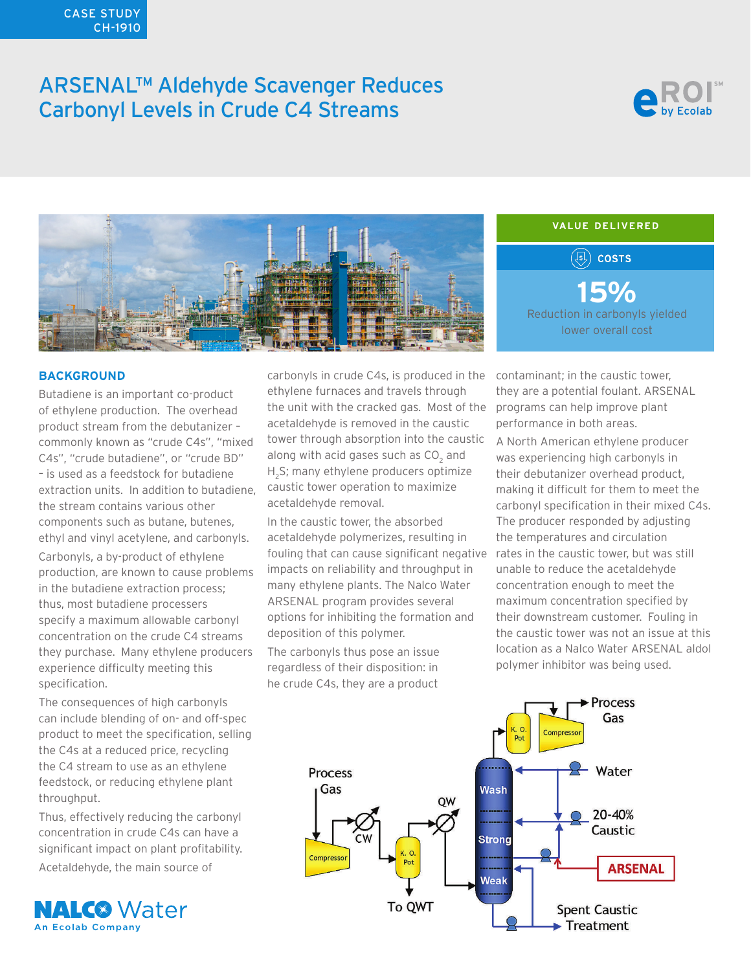### CASE STUDY CH-1910

# ARSENAL™ Aldehyde Scavenger Reduces Carbonyl Levels in Crude C4 Streams





## **VALUE DELIVERED** $(\sqrt{s})$  costs **15%** Reduction in carbonyls yielded lower overall cost

### **BACKGROUND**

specification.

Butadiene is an important co-product of ethylene production. The overhead product stream from the debutanizer – commonly known as "crude C4s", "mixed C4s", "crude butadiene", or "crude BD" – is used as a feedstock for butadiene extraction units. In addition to butadiene, the stream contains various other components such as butane, butenes, ethyl and vinyl acetylene, and carbonyls. Carbonyls, a by-product of ethylene production, are known to cause problems in the butadiene extraction process; thus, most butadiene processers specify a maximum allowable carbonyl concentration on the crude C4 streams they purchase. Many ethylene producers experience difficulty meeting this

The consequences of high carbonyls can include blending of on- and off-spec product to meet the specification, selling the C4s at a reduced price, recycling the C4 stream to use as an ethylene feedstock, or reducing ethylene plant throughput.

Thus, effectively reducing the carbonyl concentration in crude C4s can have a significant impact on plant profitability.

Acetaldehyde, the main source of



carbonyls in crude C4s, is produced in the ethylene furnaces and travels through the unit with the cracked gas. Most of the acetaldehyde is removed in the caustic tower through absorption into the caustic along with acid gases such as  $\mathsf{CO}_2$  and H<sub>2</sub>S; many ethylene producers optimize caustic tower operation to maximize acetaldehyde removal.

In the caustic tower, the absorbed acetaldehyde polymerizes, resulting in fouling that can cause significant negative rates in the caustic tower, but was still impacts on reliability and throughput in many ethylene plants. The Nalco Water ARSENAL program provides several options for inhibiting the formation and deposition of this polymer.

The carbonyls thus pose an issue regardless of their disposition: in he crude C4s, they are a product

contaminant; in the caustic tower, they are a potential foulant. ARSENAL programs can help improve plant performance in both areas.

A North American ethylene producer was experiencing high carbonyls in their debutanizer overhead product, making it difficult for them to meet the carbonyl specification in their mixed C4s. The producer responded by adjusting the temperatures and circulation unable to reduce the acetaldehyde concentration enough to meet the maximum concentration specified by their downstream customer. Fouling in the caustic tower was not an issue at this location as a Nalco Water ARSENAL aldol polymer inhibitor was being used.